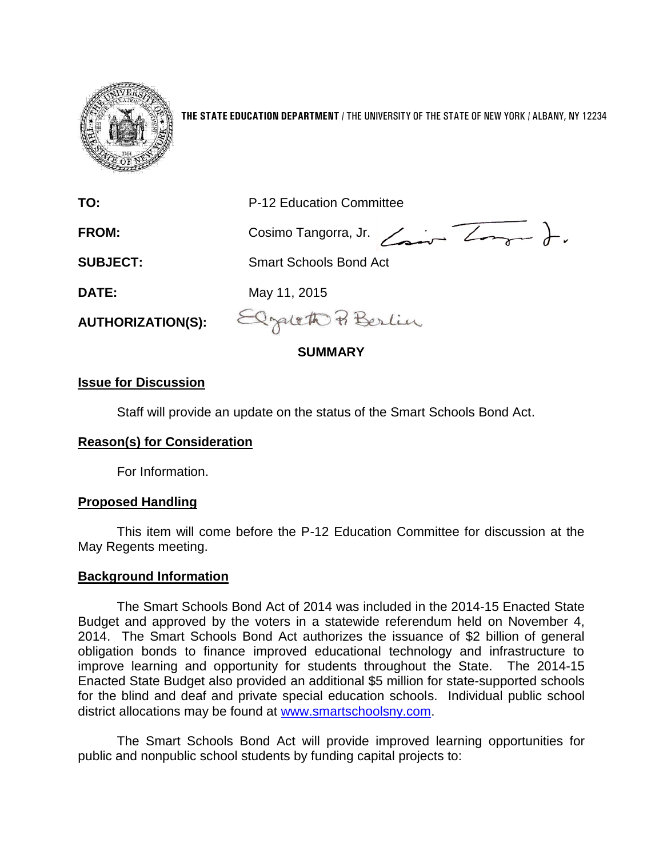

**THE STATE EDUCATION DEPARTMENT** / THE UNIVERSITY OF THE STATE OF NEW YORK / ALBANY, NY 12234

**TO:** P-12 Education Committee

FROM: Cosimo Tangorra, Jr. <del>Congress</del> J.

**SUBJECT:** Smart Schools Bond Act

**DATE:** May 11, 2015

**AUTHORIZATION(S):**

Elzaleth Berlin

# **SUMMARY**

### **Issue for Discussion**

Staff will provide an update on the status of the Smart Schools Bond Act.

# **Reason(s) for Consideration**

For Information.

### **Proposed Handling**

This item will come before the P-12 Education Committee for discussion at the May Regents meeting.

# **Background Information**

The Smart Schools Bond Act of 2014 was included in the 2014-15 Enacted State Budget and approved by the voters in a statewide referendum held on November 4, 2014. The Smart Schools Bond Act authorizes the issuance of \$2 billion of general obligation bonds to finance improved educational technology and infrastructure to improve learning and opportunity for students throughout the State. The 2014-15 Enacted State Budget also provided an additional \$5 million for state-supported schools for the blind and deaf and private special education schools. Individual public school district allocations may be found at [www.smartschoolsny.com.](http://www.smartschoolsny.com/)

The Smart Schools Bond Act will provide improved learning opportunities for public and nonpublic school students by funding capital projects to: